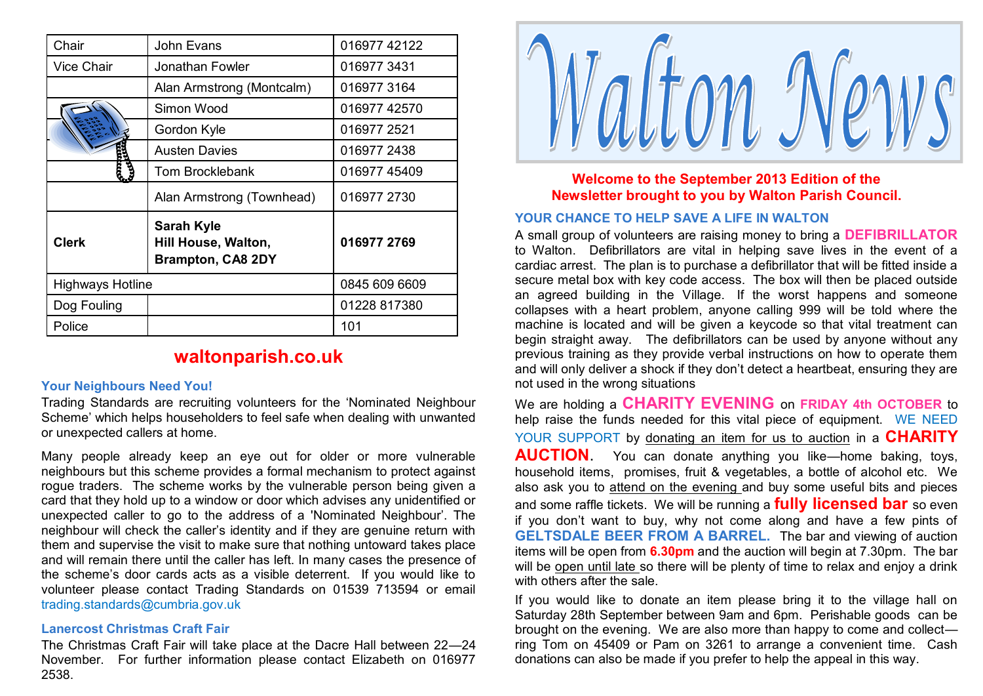| Chair                   | John Evans                                                           | 016977 42122  |
|-------------------------|----------------------------------------------------------------------|---------------|
| <b>Vice Chair</b>       | Jonathan Fowler                                                      | 0169773431    |
|                         | Alan Armstrong (Montcalm)                                            | 0169773164    |
|                         | Simon Wood                                                           | 016977 42570  |
|                         | Gordon Kyle                                                          | 016977 2521   |
|                         | <b>Austen Davies</b>                                                 | 016977 2438   |
|                         | <b>Tom Brocklebank</b>                                               | 016977 45409  |
|                         | Alan Armstrong (Townhead)                                            | 016977 2730   |
| <b>Clerk</b>            | <b>Sarah Kyle</b><br>Hill House, Walton,<br><b>Brampton, CA8 2DY</b> | 016977 2769   |
| <b>Highways Hotline</b> |                                                                      | 0845 609 6609 |
| Dog Fouling             |                                                                      | 01228 817380  |
| Police                  |                                                                      | 101           |

# **waltonparish.co.uk**

#### **Your Neighbours Need You!**

Trading Standards are recruiting volunteers for the 'Nominated Neighbour Scheme' which helps householders to feel safe when dealing with unwanted or unexpected callers at home.

Many people already keep an eye out for older or more vulnerable neighbours but this scheme provides a formal mechanism to protect against rogue traders. The scheme works by the vulnerable person being given a card that they hold up to a window or door which advises any unidentified or unexpected caller to go to the address of a 'Nominated Neighbour'. The neighbour will check the caller's identity and if they are genuine return with them and supervise the visit to make sure that nothing untoward takes place and will remain there until the caller has left. In many cases the presence of the scheme's door cards acts as a visible deterrent. If you would like to volunteer please contact Trading Standards on 01539 713594 or email [trading.standards@cumbria.gov.uk](mailto:trading.standards@cumbria.gov.uk)

#### **Lanercost Christmas Craft Fair**

The Christmas Craft Fair will take place at the Dacre Hall between 22—24 November. For further information please contact Elizabeth on 016977 2538.



## **Welcome to the September 2013 Edition of the Newsletter brought to you by Walton Parish Council.**

### **YOUR CHANCE TO HELP SAVE A LIFE IN WALTON**

A small group of volunteers are raising money to bring a **DEFIBRILLATOR**  to Walton. Defibrillators are vital in helping save lives in the event of a cardiac arrest. The plan is to purchase a defibrillator that will be fitted inside a secure metal box with key code access. The box will then be placed outside an agreed building in the Village. If the worst happens and someone collapses with a heart problem, anyone calling 999 will be told where the machine is located and will be given a keycode so that vital treatment can begin straight away. The defibrillators can be used by anyone without any previous training as they provide verbal instructions on how to operate them and will only deliver a shock if they don't detect a heartbeat, ensuring they are not used in the wrong situations

We are holding a **CHARITY EVENING** on **FRIDAY 4th OCTOBER** to help raise the funds needed for this vital piece of equipment. WE NEED YOUR SUPPORT by donating an item for us to auction in a **CHARITY AUCTION**. You can donate anything you like—home baking, toys, household items, promises, fruit & vegetables, a bottle of alcohol etc. We also ask you to attend on the evening and buy some useful bits and pieces and some raffle tickets. We will be running a **fully licensed bar** so even if you don't want to buy, why not come along and have a few pints of **GELTSDALE BEER FROM A BARREL.** The bar and viewing of auction items will be open from **6.30pm** and the auction will begin at 7.30pm. The bar will be open until late so there will be plenty of time to relax and enjoy a drink with others after the sale.

If you would like to donate an item please bring it to the village hall on Saturday 28th September between 9am and 6pm. Perishable goods can be brought on the evening. We are also more than happy to come and collect ring Tom on 45409 or Pam on 3261 to arrange a convenient time. Cash donations can also be made if you prefer to help the appeal in this way.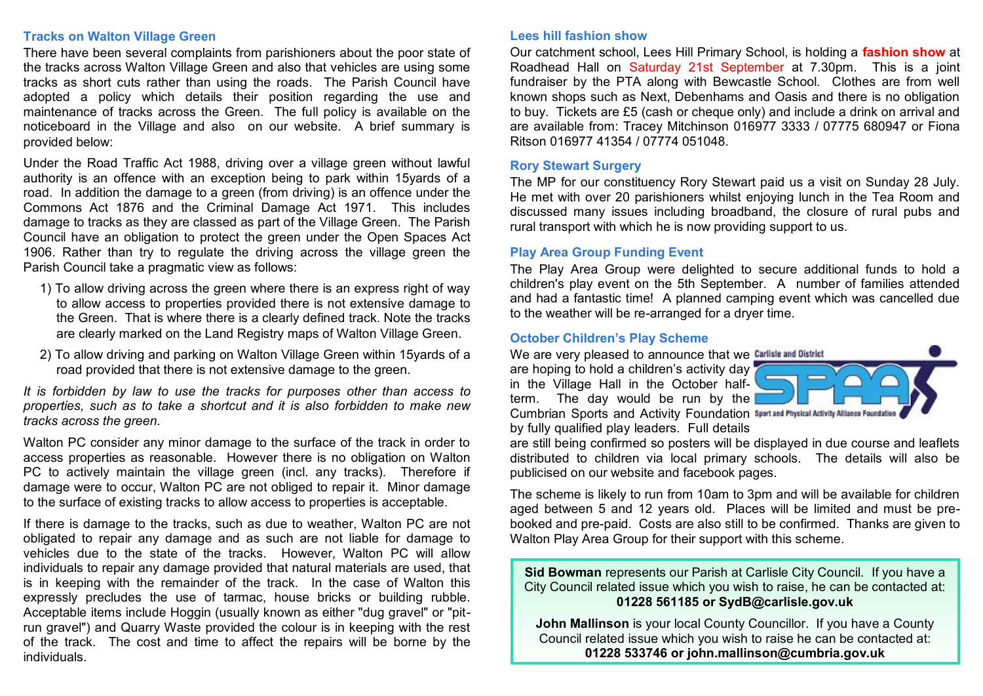#### **Tracks on Walton Village Green**

There have been several complaints from parishioners about the poor state of the tracks across Walton Village Green and also that vehicles are using some tracks as short cuts rather than using the roads. The Parish Council have adopted a policy which details their position regarding the use and maintenance of tracks across the Green. The full policy is available on the noticeboard in the Village and also on our website. A brief summary is provided below:

Under the Road Traffic Act 1988, driving over a village green without lawful authority is an offence with an exception being to park within 15yards of a road. In addition the damage to a green (from driving) is an offence under the Commons Act 1876 and the Criminal Damage Act 1971. This includes damage to tracks as they are classed as part of the Village Green. The Parish Council have an obligation to protect the green under the Open Spaces Act 1906. Rather than try to regulate the driving across the village green the Parish Council take a pragmatic view as follows:

- 1) To allow driving across the green where there is an express right of way to allow access to properties provided there is not extensive damage to the Green. That is where there is a clearly defined track. Note the tracks are clearly marked on the Land Registry maps of Walton Village Green.
- 2) To allow driving and parking on Walton Village Green within 15yards of a road provided that there is not extensive damage to the green.

*It is forbidden by law to use the tracks for purposes other than access to properties, such as to take a shortcut and it is also forbidden to make new tracks across the green.*

Walton PC consider any minor damage to the surface of the track in order to access properties as reasonable. However there is no obligation on Walton PC to actively maintain the village green (incl. any tracks). Therefore if damage were to occur, Walton PC are not obliged to repair it. Minor damage to the surface of existing tracks to allow access to properties is acceptable.

If there is damage to the tracks, such as due to weather, Walton PC are not obligated to repair any damage and as such are not liable for damage to vehicles due to the state of the tracks. However, Walton PC will allow individuals to repair any damage provided that natural materials are used, that is in keeping with the remainder of the track. In the case of Walton this expressly precludes the use of tarmac, house bricks or building rubble. Acceptable items include Hoggin (usually known as either "dug gravel" or "pitrun gravel") and Quarry Waste provided the colour is in keeping with the rest of the track. The cost and time to affect the repairs will be borne by the individuals.

#### **Lees hill fashion show**

Our catchment school, Lees Hill Primary School, is holding a **fashion show** at Roadhead Hall on Saturday 21st September at 7.30pm. This is a joint fundraiser by the PTA along with Bewcastle School. Clothes are from well known shops such as Next, Debenhams and Oasis and there is no obligation to buy. Tickets are £5 (cash or cheque only) and include a drink on arrival and are available from: Tracey Mitchinson 016977 3333 / 07775 680947 or Fiona Ritson 016977 41354 / 07774 051048.

#### **Rory Stewart Surgery**

The MP for our constituency Rory Stewart paid us a visit on Sunday 28 July. He met with over 20 parishioners whilst enjoying lunch in the Tea Room and discussed many issues including broadband, the closure of rural pubs and rural transport with which he is now providing support to us.

#### **Play Area Group Funding Event**

The Play Area Group were delighted to secure additional funds to hold a children's play event on the 5th September. A number of families attended and had a fantastic time! A planned camping event which was cancelled due to the weather will be re-arranged for a dryer time.

#### **October Children's Play Scheme**

We are very pleased to announce that we Carlisle and District

are hoping to hold a children's activity day in the Village Hall in the October halfterm. The day would be run by the Cumbrian Sports and Activity Foundation Sport and Physical Activity Alliance Foundation by fully qualified play leaders. Full details



are still being confirmed so posters will be displayed in due course and leaflets distributed to children via local primary schools. The details will also be publicised on our website and facebook pages.

The scheme is likely to run from 10am to 3pm and will be available for children aged between 5 and 12 years old. Places will be limited and must be prebooked and pre-paid. Costs are also still to be confirmed. Thanks are given to Walton Play Area Group for their support with this scheme.

**Sid Bowman** represents our Parish at Carlisle City Council. If you have a City Council related issue which you wish to raise, he can be contacted at: **01228 561185 or SydB@carlisle.gov.uk**

**John Mallinson** is your local County Councillor. If you have a County Council related issue which you wish to raise he can be contacted at: **01228 533746 or john.mallinson@cumbria.gov.uk**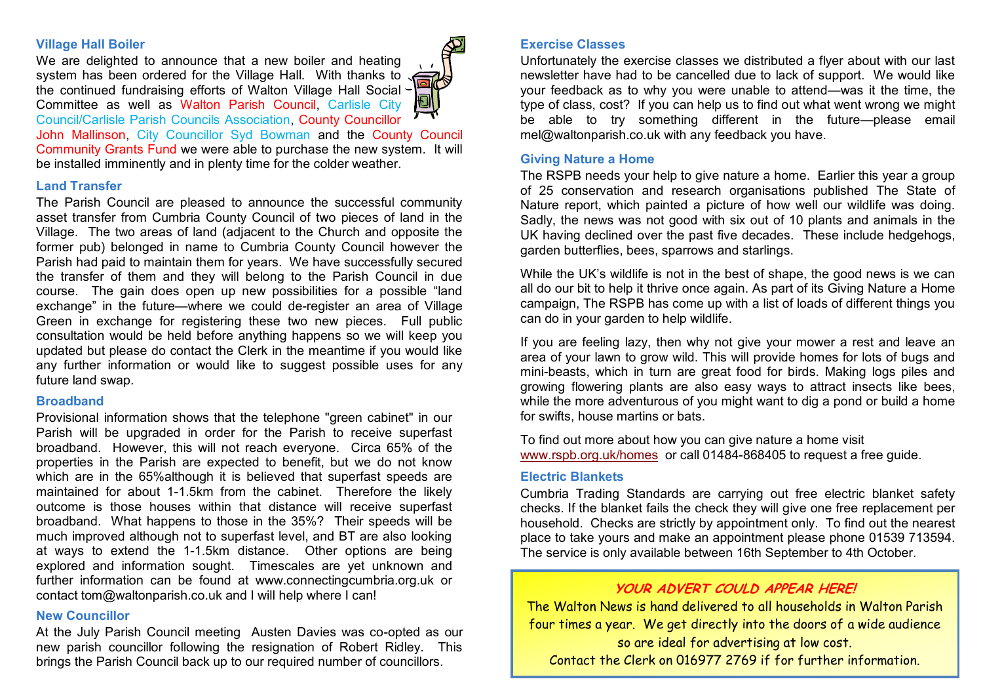#### **Village Hall Boiler**

We are delighted to announce that a new boiler and heating system has been ordered for the Village Hall. With thanks to the continued fundraising efforts of Walton Village Hall Social Committee as well as Walton Parish Council, Carlisle City Council/Carlisle Parish Councils Association, County Councillor



John Mallinson, City Councillor Syd Bowman and the County Council Community Grants Fund we were able to purchase the new system. It will be installed imminently and in plenty time for the colder weather.

#### **Land Transfer**

The Parish Council are pleased to announce the successful community asset transfer from Cumbria County Council of two pieces of land in the Village. The two areas of land (adjacent to the Church and opposite the former pub) belonged in name to Cumbria County Council however the Parish had paid to maintain them for years. We have successfully secured the transfer of them and they will belong to the Parish Council in due course. The gain does open up new possibilities for a possible "land exchange" in the future—where we could de-register an area of Village Green in exchange for registering these two new pieces. Full public consultation would be held before anything happens so we will keep you updated but please do contact the Clerk in the meantime if you would like any further information or would like to suggest possible uses for any future land swap.

#### **Broadband**

Provisional information shows that the telephone "green cabinet" in our Parish will be upgraded in order for the Parish to receive superfast broadband. However, this will not reach everyone. Circa 65% of the properties in the Parish are expected to benefit, but we do not know which are in the 65% although it is believed that superfast speeds are maintained for about 1-1.5km from the cabinet. Therefore the likely outcome is those houses within that distance will receive superfast broadband. What happens to those in the 35%? Their speeds will be much improved although not to superfast level, and BT are also looking at ways to extend the 1-1.5km distance. Other options are being explored and information sought. Timescales are yet unknown and further information can be found at www.connectingcumbria.org.uk or contact tom@waltonparish.co.uk and I will help where I can!

#### **New Councillor**

At the July Parish Council meeting Austen Davies was co-opted as our new parish councillor following the resignation of Robert Ridley. This brings the Parish Council back up to our required number of councillors.

### **Exercise Classes**

Unfortunately the exercise classes we distributed a flyer about with our last newsletter have had to be cancelled due to lack of support. We would like your feedback as to why you were unable to attend—was it the time, the type of class, cost? If you can help us to find out what went wrong we might be able to try something different in the future—please email mel@waltonparish.co.uk with any feedback you have.

#### **Giving Nature a Home**

The RSPB needs your help to give nature a home. Earlier this year a group of 25 conservation and research organisations published The State of Nature report, which painted a picture of how well our wildlife was doing. Sadly, the news was not good with six out of 10 plants and animals in the UK having declined over the past five decades. These include hedgehogs, garden butterflies, bees, sparrows and starlings.

While the UK's wildlife is not in the best of shape, the good news is we can all do our bit to help it thrive once again. As part of its Giving Nature a Home campaign, The RSPB has come up with a list of loads of different things you can do in your garden to help wildlife.

If you are feeling lazy, then why not give your mower a rest and leave an area of your lawn to grow wild. This will provide homes for lots of bugs and mini-beasts, which in turn are great food for birds. Making logs piles and growing flowering plants are also easy ways to attract insects like bees, while the more adventurous of you might want to dig a pond or build a home for swifts, house martins or bats.

To find out more about how you can give nature a home visit [www.rspb.org.uk/homes](http://www.rspb.org.uk/homes) or call 01484-868405 to request a free guide.

#### **Electric Blankets**

Cumbria Trading Standards are carrying out free electric blanket safety checks. If the blanket fails the check they will give one free replacement per household. Checks are strictly by appointment only. To find out the nearest place to take yours and make an appointment please phone 01539 713594. The service is only available between 16th September to 4th October.

## **YOUR ADVERT COULD APPEAR HERE!**

The Walton News is hand delivered to all households in Walton Parish four times a year. We get directly into the doors of a wide audience so are ideal for advertising at low cost. Contact the Clerk on 016977 2769 if for further information.